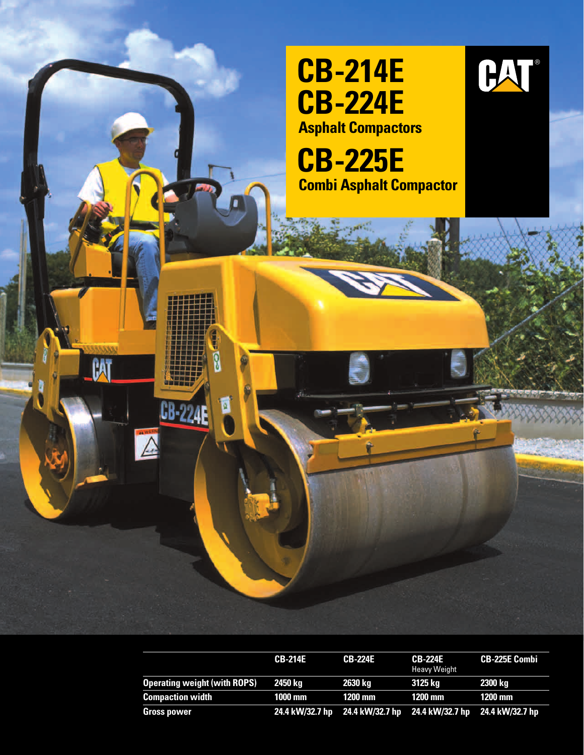

|                                     | <b>CB-214E</b> | <b>CB-224E</b>                                                  | <b>CB-224E</b><br><b>Heavy Weight</b> | <b>CB-225E Combi</b> |
|-------------------------------------|----------------|-----------------------------------------------------------------|---------------------------------------|----------------------|
| <b>Operating weight (with ROPS)</b> | 2450 ka        | 2630 kg                                                         | 3125 ka                               | 2300 kg              |
| <b>Compaction width</b>             | 1000 mm        | 1200 mm                                                         | 1200 mm                               | <b>1200 mm</b>       |
| Gross power                         |                | 24.4 kW/32.7 hp 24.4 kW/32.7 hp 24.4 kW/32.7 hp 24.4 kW/32.7 hp |                                       |                      |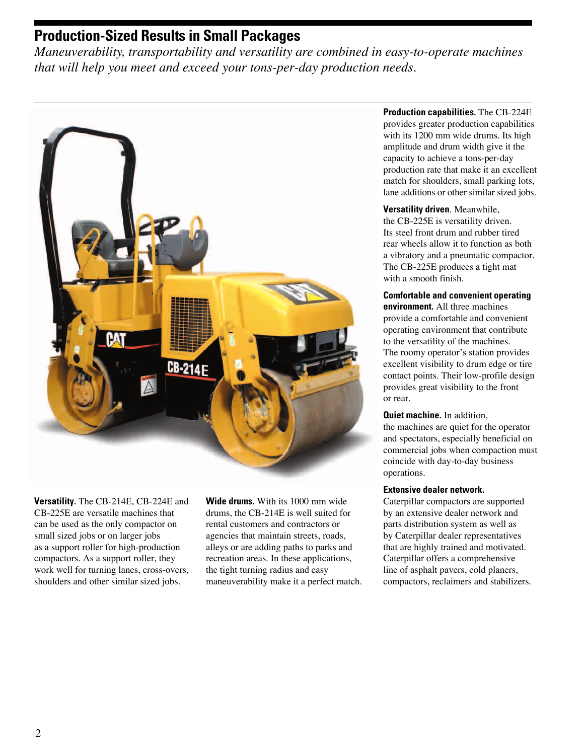### **Production-Sized Results in Small Packages**

*Maneuverability, transportability and versatility are combined in easy-to-operate machines that will help you meet and exceed your tons-per-day production needs.*



**Versatility.** The CB-214E, CB-224E and CB-225E are versatile machines that can be used as the only compactor on small sized jobs or on larger jobs as a support roller for high-production compactors. As a support roller, they work well for turning lanes, cross-overs, shoulders and other similar sized jobs.

**Wide drums.** With its 1000 mm wide drums, the CB-214E is well suited for rental customers and contractors or agencies that maintain streets, roads, alleys or are adding paths to parks and recreation areas. In these applications, the tight turning radius and easy maneuverability make it a perfect match.

#### **Production capabilities.** The CB-224E provides greater production capabilities with its 1200 mm wide drums. Its high amplitude and drum width give it the capacity to achieve a tons-per-day production rate that make it an excellent match for shoulders, small parking lots, lane additions or other similar sized jobs.

#### **Versatility driven**. Meanwhile,

the CB-225E is versatility driven. Its steel front drum and rubber tired rear wheels allow it to function as both a vibratory and a pneumatic compactor. The CB-225E produces a tight mat with a smooth finish.

#### **Comfortable and convenient operating**

**environment.** All three machines provide a comfortable and convenient operating environment that contribute to the versatility of the machines. The roomy operator's station provides excellent visibility to drum edge or tire contact points. Their low-profile design provides great visibility to the front or rear.

### **Quiet machine.** In addition,

the machines are quiet for the operator and spectators, especially beneficial on commercial jobs when compaction must coincide with day-to-day business operations.

#### **Extensive dealer network.**

Caterpillar compactors are supported by an extensive dealer network and parts distribution system as well as by Caterpillar dealer representatives that are highly trained and motivated. Caterpillar offers a comprehensive line of asphalt pavers, cold planers, compactors, reclaimers and stabilizers.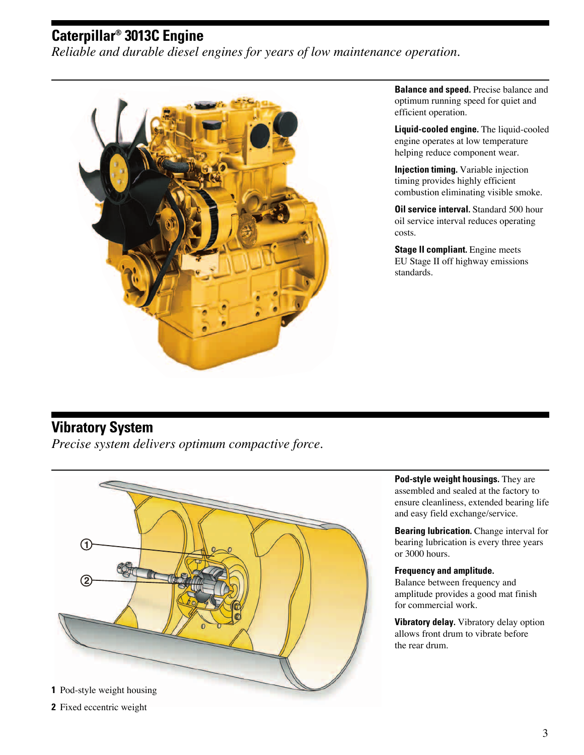# **Caterpillar® 3013C Engine**

*Reliable and durable diesel engines for years of low maintenance operation.*



**Balance and speed.** Precise balance and optimum running speed for quiet and efficient operation.

**Liquid-cooled engine.** The liquid-cooled engine operates at low temperature helping reduce component wear.

**Injection timing.** Variable injection timing provides highly efficient combustion eliminating visible smoke.

**Oil service interval.** Standard 500 hour oil service interval reduces operating costs.

**Stage II compliant.** Engine meets EU Stage II off highway emissions standards.

### **Vibratory System**

*Precise system delivers optimum compactive force.*



**Pod-style weight housings.** They are assembled and sealed at the factory to ensure cleanliness, extended bearing life and easy field exchange/service.

**Bearing lubrication.** Change interval for bearing lubrication is every three years or 3000 hours.

#### **Frequency and amplitude.**

Balance between frequency and amplitude provides a good mat finish for commercial work.

**Vibratory delay.** Vibratory delay option allows front drum to vibrate before the rear drum.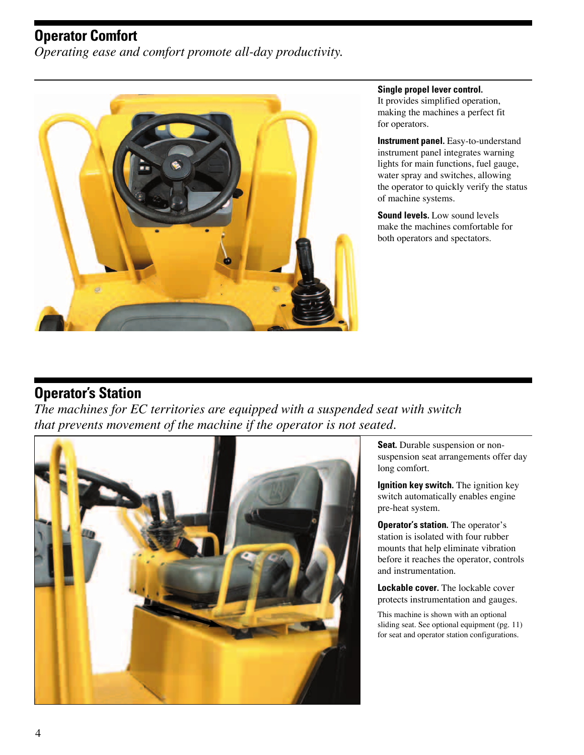### **Operator Comfort**

*Operating ease and comfort promote all-day productivity.*



#### **Single propel lever control.**

It provides simplified operation, making the machines a perfect fit for operators.

**Instrument panel.** Easy-to-understand instrument panel integrates warning lights for main functions, fuel gauge, water spray and switches, allowing the operator to quickly verify the status of machine systems.

**Sound levels.** Low sound levels make the machines comfortable for both operators and spectators.

# **Operator's Station**

*The machines for EC territories are equipped with a suspended seat with switch that prevents movement of the machine if the operator is not seated.*



**Seat.** Durable suspension or nonsuspension seat arrangements offer day long comfort.

**Ignition key switch.** The ignition key switch automatically enables engine pre-heat system.

**Operator's station.** The operator's station is isolated with four rubber mounts that help eliminate vibration before it reaches the operator, controls and instrumentation.

**Lockable cover.** The lockable cover protects instrumentation and gauges.

This machine is shown with an optional sliding seat. See optional equipment (pg. 11) for seat and operator station configurations.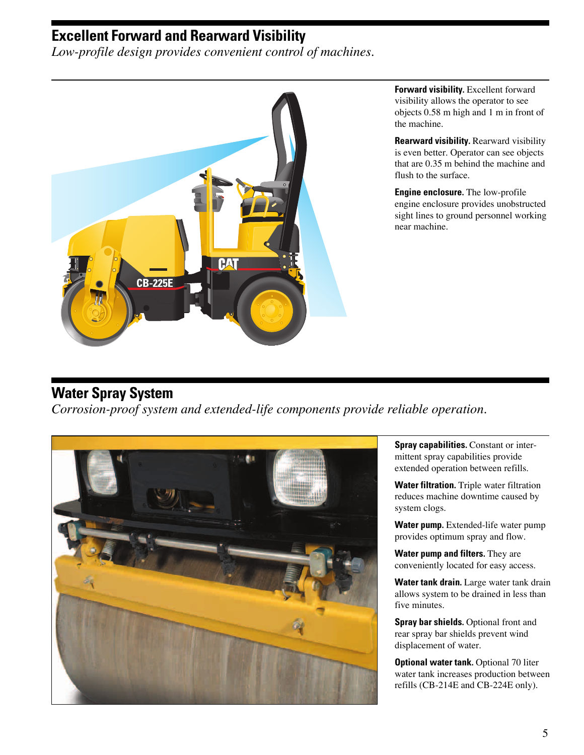### **Excellent Forward and Rearward Visibility**

*Low-profile design provides convenient control of machines.*



**Forward visibility.** Excellent forward visibility allows the operator to see objects 0.58 m high and 1 m in front of the machine.

**Rearward visibility.** Rearward visibility is even better. Operator can see objects that are 0.35 m behind the machine and flush to the surface.

**Engine enclosure.** The low-profile engine enclosure provides unobstructed sight lines to ground personnel working near machine.

# **Water Spray System**

*Corrosion-proof system and extended-life components provide reliable operation.*



**Spray capabilities.** Constant or intermittent spray capabilities provide extended operation between refills.

**Water filtration.** Triple water filtration reduces machine downtime caused by system clogs.

**Water pump.** Extended-life water pump provides optimum spray and flow.

**Water pump and filters.** They are conveniently located for easy access.

**Water tank drain.** Large water tank drain allows system to be drained in less than five minutes.

**Spray bar shields.** Optional front and rear spray bar shields prevent wind displacement of water.

**Optional water tank.** Optional 70 liter water tank increases production between refills (CB-214E and CB-224E only).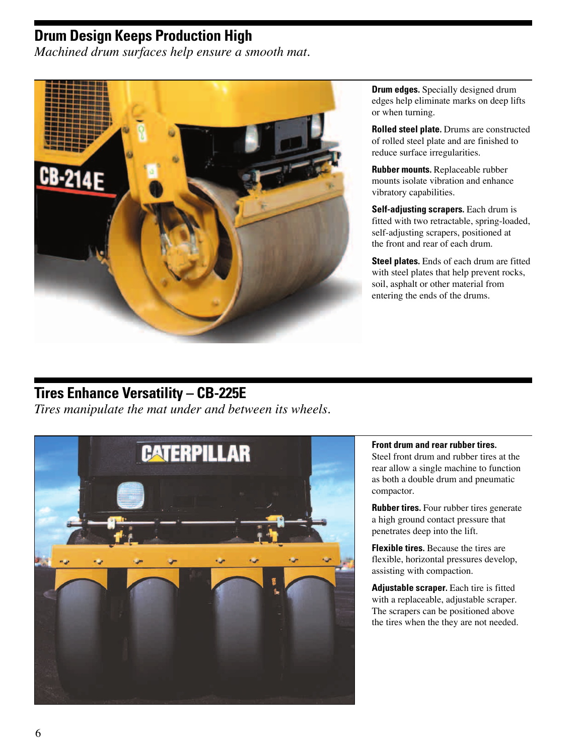### **Drum Design Keeps Production High**

*Machined drum surfaces help ensure a smooth mat.*



**Drum edges.** Specially designed drum edges help eliminate marks on deep lifts or when turning.

**Rolled steel plate.** Drums are constructed of rolled steel plate and are finished to reduce surface irregularities.

**Rubber mounts.** Replaceable rubber mounts isolate vibration and enhance vibratory capabilities.

**Self-adjusting scrapers.** Each drum is fitted with two retractable, spring-loaded, self-adjusting scrapers, positioned at the front and rear of each drum.

**Steel plates.** Ends of each drum are fitted with steel plates that help prevent rocks, soil, asphalt or other material from entering the ends of the drums.

# **Tires Enhance Versatility – CB-225E**

*Tires manipulate the mat under and between its wheels.*



### **Front drum and rear rubber tires.**

Steel front drum and rubber tires at the rear allow a single machine to function as both a double drum and pneumatic compactor.

**Rubber tires.** Four rubber tires generate a high ground contact pressure that penetrates deep into the lift.

**Flexible tires.** Because the tires are flexible, horizontal pressures develop, assisting with compaction.

**Adjustable scraper.** Each tire is fitted with a replaceable, adjustable scraper. The scrapers can be positioned above the tires when the they are not needed.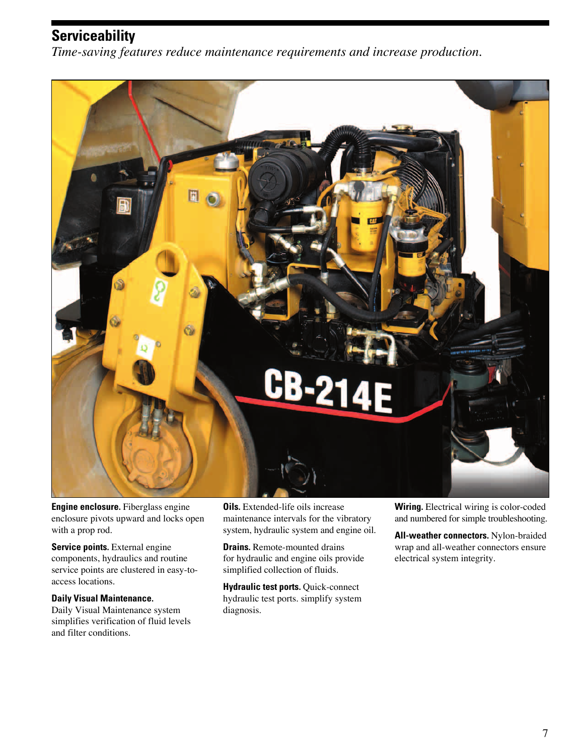# **Serviceability**

*Time-saving features reduce maintenance requirements and increase production.*



**Engine enclosure.** Fiberglass engine enclosure pivots upward and locks open with a prop rod.

**Service points.** External engine components, hydraulics and routine service points are clustered in easy-toaccess locations.

#### **Daily Visual Maintenance.**

Daily Visual Maintenance system simplifies verification of fluid levels and filter conditions.

**Oils.** Extended-life oils increase maintenance intervals for the vibratory system, hydraulic system and engine oil.

**Drains.** Remote-mounted drains for hydraulic and engine oils provide simplified collection of fluids.

**Hydraulic test ports. Quick-connect** hydraulic test ports. simplify system diagnosis.

**Wiring.** Electrical wiring is color-coded and numbered for simple troubleshooting.

**All-weather connectors.** Nylon-braided wrap and all-weather connectors ensure electrical system integrity.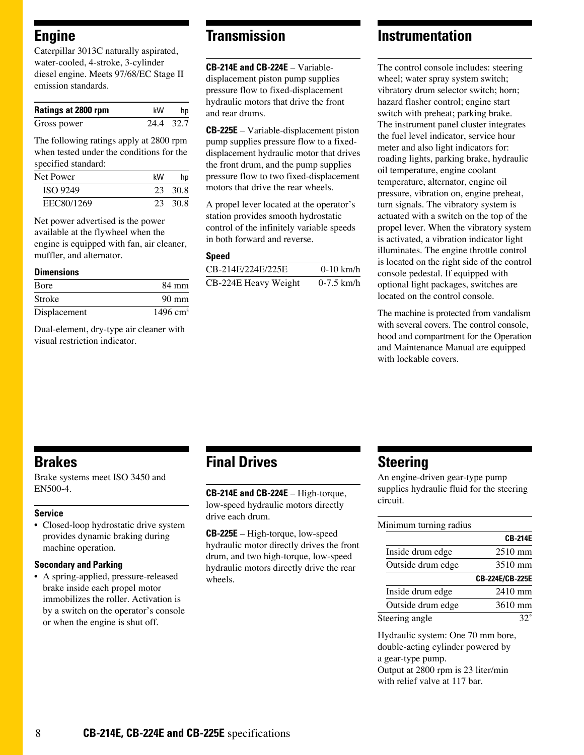### **Engine**

Caterpillar 3013C naturally aspirated, water-cooled, 4-stroke, 3-cylinder diesel engine. Meets 97/68/EC Stage II emission standards.

| <b>Ratings at 2800 rpm</b> | kW        | hp |
|----------------------------|-----------|----|
| Gross power                | 24.4 32.7 |    |

The following ratings apply at 2800 rpm when tested under the conditions for the specified standard:

| Net Power       | kW | hp      |
|-----------------|----|---------|
| <b>ISO 9249</b> |    | 23 30 8 |
| EEC80/1269      |    | 23 30 8 |

Net power advertised is the power available at the flywheel when the engine is equipped with fan, air cleaner, muffler, and alternator.

#### **Dimensions**

| <b>B</b> ore | 84 mm                |
|--------------|----------------------|
| Stroke       | $90 \text{ mm}$      |
| Displacement | 1496 cm <sup>3</sup> |

Dual-element, dry-type air cleaner with visual restriction indicator.

### **Transmission**

**CB-214E and CB-224E** – Variabledisplacement piston pump supplies pressure flow to fixed-displacement hydraulic motors that drive the front and rear drums.

**CB-225E** – Variable-displacement piston pump supplies pressure flow to a fixeddisplacement hydraulic motor that drives the front drum, and the pump supplies pressure flow to two fixed-displacement motors that drive the rear wheels.

A propel lever located at the operator's station provides smooth hydrostatic control of the infinitely variable speeds in both forward and reverse.

#### **Speed**

| CB-214E/224E/225E    | $0-10$ km/h  |
|----------------------|--------------|
| CB-224E Heavy Weight | $0-7.5$ km/h |

### **Instrumentation**

The control console includes: steering wheel; water spray system switch; vibratory drum selector switch; horn; hazard flasher control; engine start switch with preheat; parking brake. The instrument panel cluster integrates the fuel level indicator, service hour meter and also light indicators for: roading lights, parking brake, hydraulic oil temperature, engine coolant temperature, alternator, engine oil pressure, vibration on, engine preheat, turn signals. The vibratory system is actuated with a switch on the top of the propel lever. When the vibratory system is activated, a vibration indicator light illuminates. The engine throttle control is located on the right side of the control console pedestal. If equipped with optional light packages, switches are located on the control console.

The machine is protected from vandalism with several covers. The control console, hood and compartment for the Operation and Maintenance Manual are equipped with lockable covers.

### **Brakes**

Brake systems meet ISO 3450 and EN500-4.

#### **Service**

• Closed-loop hydrostatic drive system provides dynamic braking during machine operation.

#### **Secondary and Parking**

• A spring-applied, pressure-released brake inside each propel motor immobilizes the roller. Activation is by a switch on the operator's console or when the engine is shut off.

### **Final Drives**

**CB-214E and CB-224E** – High-torque, low-speed hydraulic motors directly drive each drum.

**CB-225E** – High-torque, low-speed hydraulic motor directly drives the front drum, and two high-torque, low-speed hydraulic motors directly drive the rear wheels.

### **Steering**

An engine-driven gear-type pump supplies hydraulic fluid for the steering circuit.

#### Minimum turning radius

|                   | <b>CB-214E</b>    |
|-------------------|-------------------|
| Inside drum edge  | $2510 \text{ mm}$ |
| Outside drum edge | 3510 mm           |
|                   | CB-224E/CB-225E   |
| Inside drum edge  | $2410$ mm         |
| Outside drum edge | 3610 mm           |
| Steering angle    |                   |

Hydraulic system: One 70 mm bore, double-acting cylinder powered by a gear-type pump. Output at 2800 rpm is 23 liter/min with relief valve at 117 bar.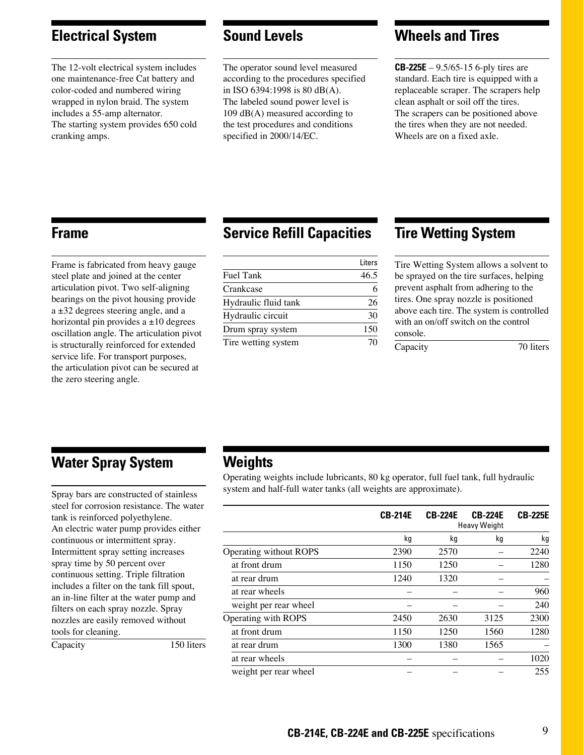### **Electrical System**

The 12-volt electrical system includes one maintenance-free Cat battery and color-coded and numbered wiring wrapped in nylon braid. The system includes a 55-amp alternator. The starting system provides 650 cold cranking amps.

### **Sound Levels**

The operator sound level measured according to the procedures specified in ISO 6394:1998 is 80 dB(A). The labeled sound power level is 109 dB(A) measured according to the test procedures and conditions specified in 2000/14/EC.

### **Wheels and Tires**

**CB-225E** – 9.5/65-15 6-ply tires are standard. Each tire is equipped with a replaceable scraper. The scrapers help clean asphalt or soil off the tires. The scrapers can be positioned above the tires when they are not needed. Wheels are on a fixed axle.

### **Frame**

Frame is fabricated from heavy gauge steel plate and joined at the center articulation pivot. Two self-aligning bearings on the pivot housing provide  $a \pm 32$  degrees steering angle, and a horizontal pin provides  $a \pm 10$  degrees oscillation angle. The articulation pivot is structurally reinforced for extended service life. For transport purposes, the articulation pivot can be secured at the zero steering angle.

### **Service Refill Capacities**

|                      | Liters |
|----------------------|--------|
| Fuel Tank            | 46.5   |
| Crankcase            | 6      |
| Hydraulic fluid tank | 26     |
| Hydraulic circuit    | 30     |
| Drum spray system    | 150    |
| Tire wetting system  | 70     |

### **Tire Wetting System**

Tire Wetting System allows a solvent to be sprayed on the tire surfaces, helping prevent asphalt from adhering to the tires. One spray nozzle is positioned above each tire. The system is controlled with an on/off switch on the control console.

Capacity 70 liters

### **Water Spray System**

Spray bars are constructed of stainless steel for corrosion resistance. The water tank is reinforced polyethylene. An electric water pump provides either continuous or intermittent spray. Intermittent spray setting increases spray time by 50 percent over continuous setting. Triple filtration includes a filter on the tank fill spout, an in-line filter at the water pump and filters on each spray nozzle. Spray nozzles are easily removed without tools for cleaning.

Capacity 150 liters

### **Weights**

Operating weights include lubricants, 80 kg operator, full fuel tank, full hydraulic system and half-full water tanks (all weights are approximate).

|                        | <b>CB-214E</b> | <b>CB-224E</b> | <b>CB-224E</b><br><b>Heavy Weight</b> | <b>CB-225E</b> |
|------------------------|----------------|----------------|---------------------------------------|----------------|
|                        | kg             | kg             | kg                                    | kg             |
| Operating without ROPS | 2390           | 2570           |                                       | 2240           |
| at front drum          | 1150           | 1250           |                                       | 1280           |
| at rear drum           | 1240           | 1320           |                                       |                |
| at rear wheels         |                |                |                                       | 960            |
| weight per rear wheel  |                |                |                                       | 240            |
| Operating with ROPS    | 2450           | 2630           | 3125                                  | 2300           |
| at front drum          | 1150           | 1250           | 1560                                  | 1280           |
| at rear drum           | 1300           | 1380           | 1565                                  |                |
| at rear wheels         |                |                |                                       | 1020           |
| weight per rear wheel  |                |                |                                       | 255            |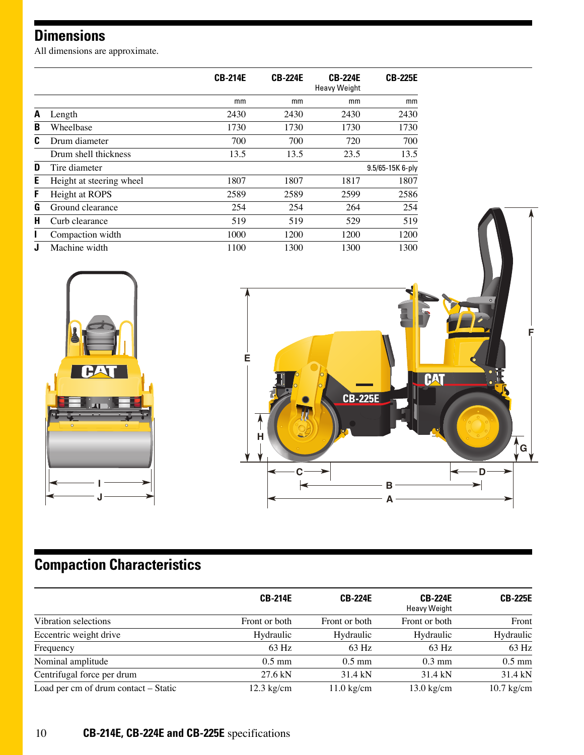# **Dimensions**

All dimensions are approximate.

|   |                          | <b>CB-214E</b> | <b>CB-224E</b> | <b>CB-224E</b><br><b>Heavy Weight</b> | <b>CB-225E</b>   |
|---|--------------------------|----------------|----------------|---------------------------------------|------------------|
|   |                          | mm             | mm             | mm                                    | mm               |
| A | Length                   | 2430           | 2430           | 2430                                  | 2430             |
| B | Wheelbase                | 1730           | 1730           | 1730                                  | 1730             |
| C | Drum diameter            | 700            | 700            | 720                                   | 700              |
|   | Drum shell thickness     | 13.5           | 13.5           | 23.5                                  | 13.5             |
| D | Tire diameter            |                |                |                                       | 9.5/65-15K 6-ply |
| E | Height at steering wheel | 1807           | 1807           | 1817                                  | 1807             |
| F | Height at ROPS           | 2589           | 2589           | 2599                                  | 2586             |
| G | Ground clearance         | 254            | 254            | 264                                   | 254              |
| н | Curb clearance           | 519            | 519            | 529                                   | 519              |
|   | Compaction width         | 1000           | 1200           | 1200                                  | 1200             |
|   | Machine width            | 1100           | 1300           | 1300                                  | 1300             |





# **Compaction Characteristics**

|                                      | <b>CB-214E</b>       | <b>CB-224E</b>       | <b>CB-224E</b><br><b>Heavy Weight</b> | <b>CB-225E</b> |
|--------------------------------------|----------------------|----------------------|---------------------------------------|----------------|
| Vibration selections                 | Front or both        | Front or both        | Front or both                         | Front          |
| Eccentric weight drive               | Hydraulic            | Hydraulic            | Hydraulic                             | Hydraulic      |
| Frequency                            | 63 Hz                | $63$ Hz              | $63$ Hz                               | 63 Hz          |
| Nominal amplitude                    | $0.5$ mm             | $0.5$ mm             | $0.3 \text{ mm}$                      | $0.5$ mm       |
| Centrifugal force per drum           | $27.6$ kN            | 31.4 kN              | 31.4 kN                               | 31.4 kN        |
| Load per cm of drum contact - Static | $12.3 \text{ kg/cm}$ | $11.0 \text{ kg/cm}$ | $13.0 \text{ kg/cm}$                  | $10.7$ kg/cm   |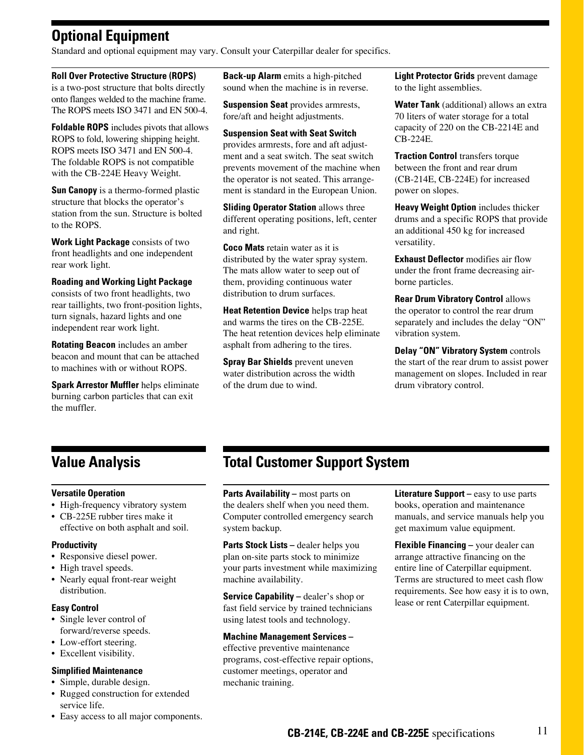# **Optional Equipment**

Standard and optional equipment may vary. Consult your Caterpillar dealer for specifics.

#### **Roll Over Protective Structure (ROPS)**

is a two-post structure that bolts directly onto flanges welded to the machine frame. The ROPS meets ISO 3471 and EN 500-4.

**Foldable ROPS** includes pivots that allows ROPS to fold, lowering shipping height. ROPS meets ISO 3471 and EN 500-4. The foldable ROPS is not compatible with the CB-224E Heavy Weight.

**Sun Canopy** is a thermo-formed plastic structure that blocks the operator's station from the sun. Structure is bolted to the ROPS.

**Work Light Package** consists of two front headlights and one independent rear work light.

#### **Roading and Working Light Package**

consists of two front headlights, two rear taillights, two front-position lights, turn signals, hazard lights and one independent rear work light.

**Rotating Beacon** includes an amber beacon and mount that can be attached to machines with or without ROPS.

**Spark Arrestor Muffler** helps eliminate burning carbon particles that can exit the muffler.

**Back-up Alarm** emits a high-pitched sound when the machine is in reverse.

**Suspension Seat** provides armrests, fore/aft and height adjustments.

**Suspension Seat with Seat Switch** provides armrests, fore and aft adjustment and a seat switch. The seat switch prevents movement of the machine when the operator is not seated. This arrangement is standard in the European Union.

**Sliding Operator Station** allows three different operating positions, left, center and right.

**Coco Mats** retain water as it is distributed by the water spray system. The mats allow water to seep out of them, providing continuous water distribution to drum surfaces.

**Heat Retention Device** helps trap heat and warms the tires on the CB-225E. The heat retention devices help eliminate asphalt from adhering to the tires.

**Spray Bar Shields** prevent uneven water distribution across the width of the drum due to wind.

**Light Protector Grids** prevent damage to the light assemblies.

**Water Tank** (additional) allows an extra 70 liters of water storage for a total capacity of 220 on the CB-2214E and CB-224E.

**Traction Control** transfers torque between the front and rear drum (CB-214E, CB-224E) for increased power on slopes.

**Heavy Weight Option** includes thicker drums and a specific ROPS that provide an additional 450 kg for increased versatility.

**Exhaust Deflector** modifies air flow under the front frame decreasing airborne particles.

**Rear Drum Vibratory Control** allows the operator to control the rear drum separately and includes the delay "ON" vibration system.

**Delay "ON" Vibratory System** controls the start of the rear drum to assist power management on slopes. Included in rear drum vibratory control.

### **Value Analysis**

### **Versatile Operation**

- High-frequency vibratory system
- CB-225E rubber tires make it effective on both asphalt and soil.

#### **Productivity**

- Responsive diesel power.
- High travel speeds.
- Nearly equal front-rear weight distribution.

### **Easy Control**

- Single lever control of forward/reverse speeds.
- Low-effort steering.
- Excellent visibility.

#### **Simplified Maintenance**

- Simple, durable design.
- Rugged construction for extended service life.

# **Total Customer Support System**

**Parts Availability –** most parts on the dealers shelf when you need them. Computer controlled emergency search system backup.

**Parts Stock Lists –** dealer helps you plan on-site parts stock to minimize your parts investment while maximizing machine availability.

**Service Capability –** dealer's shop or fast field service by trained technicians using latest tools and technology.

#### **Machine Management Services –**

effective preventive maintenance programs, cost-effective repair options, customer meetings, operator and mechanic training.

**Literature Support –** easy to use parts books, operation and maintenance manuals, and service manuals help you get maximum value equipment.

**Flexible Financing –** your dealer can arrange attractive financing on the entire line of Caterpillar equipment. Terms are structured to meet cash flow requirements. See how easy it is to own, lease or rent Caterpillar equipment.